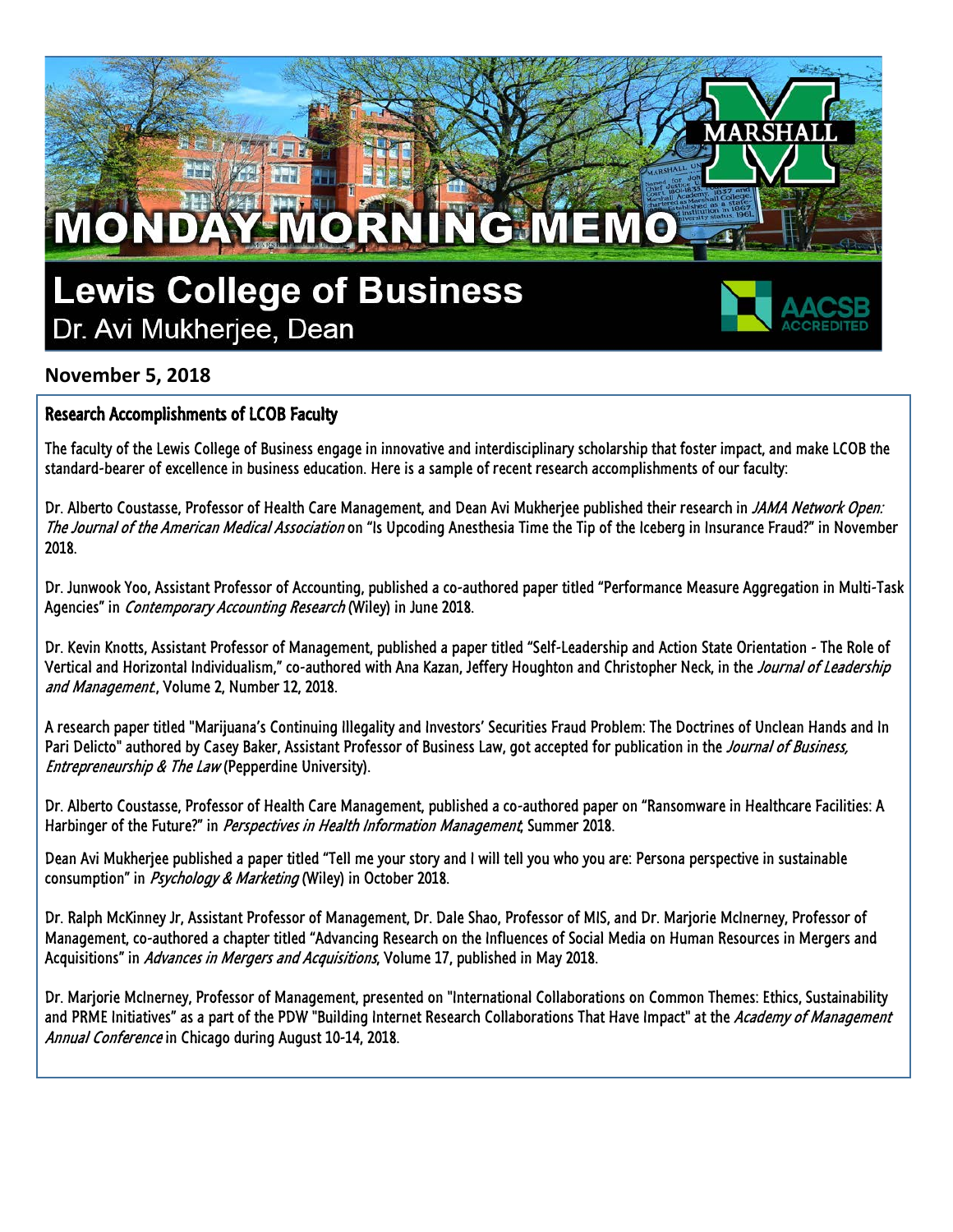## **Lewis College of Business** Dr. Avi Mukherjee, Dean

RN



## **November 5, 2018**

MONDA

## Research Accomplishments of LCOB Faculty

The faculty of the Lewis College of Business engage in innovative and interdisciplinary scholarship that foster impact, and make LCOB the standard-bearer of excellence in business education. Here is a sample of recent research accomplishments of our faculty:

**G**MEM

Dr. Alberto Coustasse, Professor of Health Care Management, and Dean Avi Mukherjee published their research in *JAMA Network Open:* The Journal of the American Medical Association on "Is Upcoding Anesthesia Time the Tip of the Iceberg in Insurance Fraud?" in November 2018.

Dr. Junwook Yoo, Assistant Professor of Accounting, published a co-authored paper titled "Performance Measure Aggregation in Multi-Task Agencies" in *Contemporary Accounting Research* (Wiley) in June 2018.

Dr. Kevin Knotts, Assistant Professor of Management, published a paper titled "Self-Leadership and Action State Orientation - The Role of Vertical and Horizontal Individualism," co-authored with Ana Kazan, Jeffery Houghton and Christopher Neck, in the Journal of Leadership and Management, Volume 2, Number 12, 2018.

A research paper titled "Marijuana's Continuing Illegality and Investors' Securities Fraud Problem: The Doctrines of Unclean Hands and In Pari Delicto" authored by Casey Baker, Assistant Professor of Business Law, got accepted for publication in the Journal of Business, Entrepreneurship & The Law (Pepperdine University).

Dr. Alberto Coustasse, Professor of Health Care Management, published a co-authored paper on "Ransomware in Healthcare Facilities: A Harbinger of the Future?" in Perspectives in Health Information Management, Summer 2018.

Dean Avi Mukherjee published a paper titled "Tell me your story and I will tell you who you are: Persona perspective in sustainable consumption" in Psychology & Marketing (Wiley) in October 2018.

Dr. Ralph McKinney Jr, Assistant Professor of Management, Dr. Dale Shao, Professor of MIS, and Dr. Marjorie McInerney, Professor of Management, co-authored a chapter titled "Advancing Research on the Influences of Social Media on Human Resources in Mergers and Acquisitions" in Advances in Mergers and Acquisitions, Volume 17, published in May 2018.

Dr. Marjorie McInerney, Professor of Management, presented on "International Collaborations on Common Themes: Ethics, Sustainability and PRME Initiatives" as a part of the PDW "Building Internet Research Collaborations That Have Impact" at the Academy of Management Annual Conference in Chicago during August 10-14, 2018.